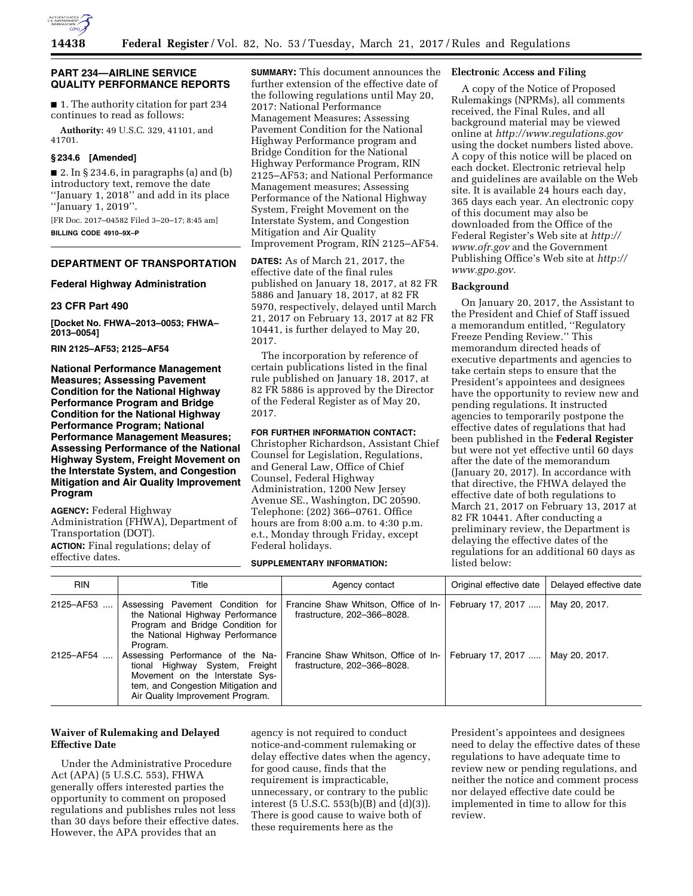

## **PART 234—AIRLINE SERVICE QUALITY PERFORMANCE REPORTS**

■ 1. The authority citation for part 234 continues to read as follows:

**Authority:** 49 U.S.C. 329, 41101, and 41701.

# **§ 234.6 [Amended]**

 $\blacksquare$  2. In § 234.6, in paragraphs (a) and (b) introductory text, remove the date ''January 1, 2018'' and add in its place ''January 1, 2019''.

[FR Doc. 2017–04582 Filed 3–20–17; 8:45 am] **BILLING CODE 4910–9X–P** 

# **DEPARTMENT OF TRANSPORTATION**

## **Federal Highway Administration**

#### **23 CFR Part 490**

**[Docket No. FHWA–2013–0053; FHWA– 2013–0054]** 

**RIN 2125–AF53; 2125–AF54** 

**National Performance Management Measures; Assessing Pavement Condition for the National Highway Performance Program and Bridge Condition for the National Highway Performance Program; National Performance Management Measures; Assessing Performance of the National Highway System, Freight Movement on the Interstate System, and Congestion Mitigation and Air Quality Improvement Program** 

**AGENCY:** Federal Highway Administration (FHWA), Department of Transportation (DOT). **ACTION:** Final regulations; delay of effective dates.

**SUMMARY:** This document announces the further extension of the effective date of the following regulations until May 20, 2017: National Performance Management Measures; Assessing Pavement Condition for the National Highway Performance program and Bridge Condition for the National Highway Performance Program, RIN 2125–AF53; and National Performance Management measures; Assessing Performance of the National Highway System, Freight Movement on the Interstate System, and Congestion Mitigation and Air Quality Improvement Program, RIN 2125–AF54.

**DATES:** As of March 21, 2017, the effective date of the final rules published on January 18, 2017, at 82 FR 5886 and January 18, 2017, at 82 FR 5970, respectively, delayed until March 21, 2017 on February 13, 2017 at 82 FR 10441, is further delayed to May 20, 2017.

The incorporation by reference of certain publications listed in the final rule published on January 18, 2017, at 82 FR 5886 is approved by the Director of the Federal Register as of May 20, 2017.

# **FOR FURTHER INFORMATION CONTACT:**

Christopher Richardson, Assistant Chief Counsel for Legislation, Regulations, and General Law, Office of Chief Counsel, Federal Highway Administration, 1200 New Jersey Avenue SE., Washington, DC 20590. Telephone: (202) 366–0761. Office hours are from 8:00 a.m. to 4:30 p.m. e.t., Monday through Friday, except Federal holidays.

#### **SUPPLEMENTARY INFORMATION:**

# **Electronic Access and Filing**

A copy of the Notice of Proposed Rulemakings (NPRMs), all comments received, the Final Rules, and all background material may be viewed online at *<http://www.regulations.gov>*  using the docket numbers listed above. A copy of this notice will be placed on each docket. Electronic retrieval help and guidelines are available on the Web site. It is available 24 hours each day, 365 days each year. An electronic copy of this document may also be downloaded from the Office of the Federal Register's Web site at *[http://](http://www.ofr.gov) [www.ofr.gov](http://www.ofr.gov)* and the Government Publishing Office's Web site at *[http://](http://www.gpo.gov) [www.gpo.gov.](http://www.gpo.gov)* 

## **Background**

On January 20, 2017, the Assistant to the President and Chief of Staff issued a memorandum entitled, ''Regulatory Freeze Pending Review.'' This memorandum directed heads of executive departments and agencies to take certain steps to ensure that the President's appointees and designees have the opportunity to review new and pending regulations. It instructed agencies to temporarily postpone the effective dates of regulations that had been published in the **Federal Register**  but were not yet effective until 60 days after the date of the memorandum (January 20, 2017). In accordance with that directive, the FHWA delayed the effective date of both regulations to March 21, 2017 on February 13, 2017 at 82 FR 10441. After conducting a preliminary review, the Department is delaying the effective dates of the regulations for an additional 60 days as listed below:

| <b>RIN</b> | Title                                                                                                                                                                           | Agency contact                                                      | Original effective date | Delayed effective date |
|------------|---------------------------------------------------------------------------------------------------------------------------------------------------------------------------------|---------------------------------------------------------------------|-------------------------|------------------------|
| 2125-AF53  | Assessing Pavement Condition for<br>the National Highway Performance<br>Program and Bridge Condition for<br>the National Highway Performance<br>Program.                        | Francine Shaw Whitson, Office of In-<br>frastructure, 202-366-8028. | February 17, 2017       | May 20, 2017.          |
| 2125-AF54  | Assessing Performance of the Na-<br>tional Highway System, Freight<br>Movement on the Interstate Sys-<br>tem, and Congestion Mitigation and<br>Air Quality Improvement Program. | Francine Shaw Whitson, Office of In-<br>frastructure, 202–366–8028. | February 17, 2017       | May 20, 2017.          |

# **Waiver of Rulemaking and Delayed Effective Date**

Under the Administrative Procedure Act (APA) (5 U.S.C. 553), FHWA generally offers interested parties the opportunity to comment on proposed regulations and publishes rules not less than 30 days before their effective dates. However, the APA provides that an

agency is not required to conduct notice-and-comment rulemaking or delay effective dates when the agency, for good cause, finds that the requirement is impracticable, unnecessary, or contrary to the public interest (5 U.S.C. 553(b)(B) and (d)(3)). There is good cause to waive both of these requirements here as the

President's appointees and designees need to delay the effective dates of these regulations to have adequate time to review new or pending regulations, and neither the notice and comment process nor delayed effective date could be implemented in time to allow for this review.